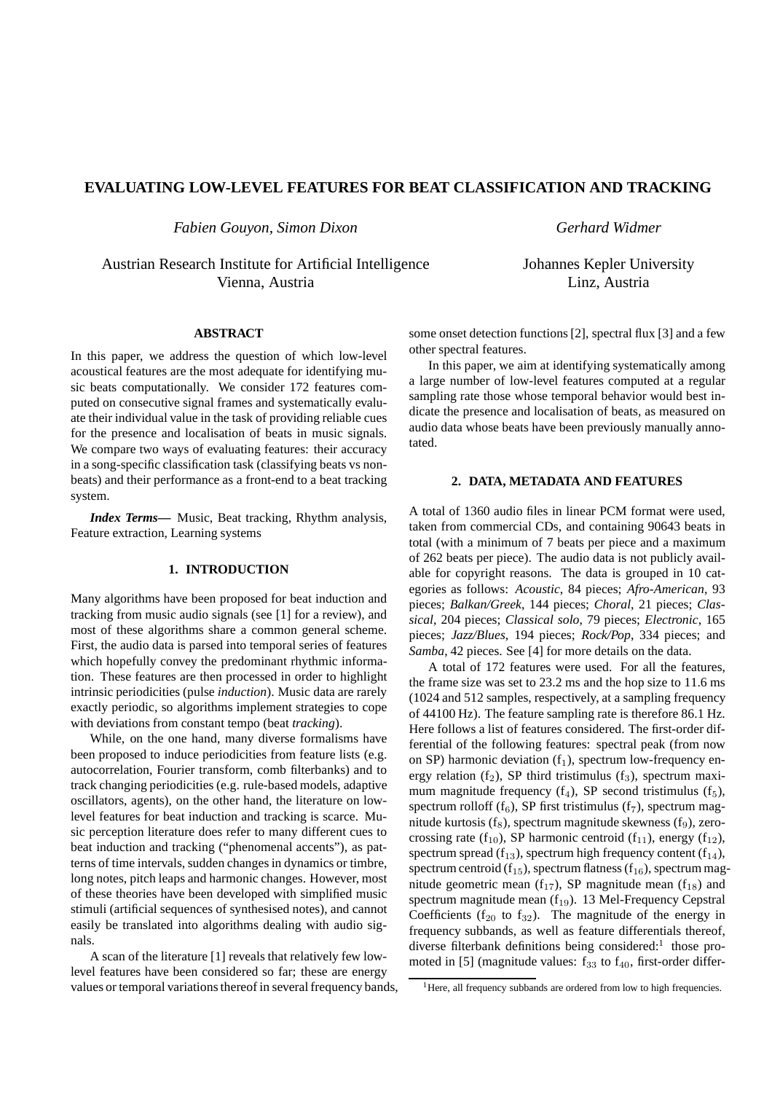# **EVALUATING LOW-LEVEL FEATURES FOR BEAT CLASSIFICATION AND TRACKING**

*Fabien Gouyon, Simon Dixon*

Austrian Research Institute for Artificial Intelligence Vienna, Austria

*Gerhard Widmer*

Johannes Kepler University Linz, Austria

## **ABSTRACT**

In this paper, we address the question of which low-level acoustical features are the most adequate for identifying music beats computationally. We consider 172 features computed on consecutive signal frames and systematically evaluate their individual value in the task of providing reliable cues for the presence and localisation of beats in music signals. We compare two ways of evaluating features: their accuracy in a song-specific classification task (classifying beats vs nonbeats) and their performance as a front-end to a beat tracking system.

*Index Terms***—** Music, Beat tracking, Rhythm analysis, Feature extraction, Learning systems

## **1. INTRODUCTION**

Many algorithms have been proposed for beat induction and tracking from music audio signals (see [1] for a review), and most of these algorithms share a common general scheme. First, the audio data is parsed into temporal series of features which hopefully convey the predominant rhythmic information. These features are then processed in order to highlight intrinsic periodicities (pulse *induction*). Music data are rarely exactly periodic, so algorithms implement strategies to cope with deviations from constant tempo (beat *tracking*).

While, on the one hand, many diverse formalisms have been proposed to induce periodicities from feature lists (e.g. autocorrelation, Fourier transform, comb filterbanks) and to track changing periodicities (e.g. rule-based models, adaptive oscillators, agents), on the other hand, the literature on lowlevel features for beat induction and tracking is scarce. Music perception literature does refer to many different cues to beat induction and tracking ("phenomenal accents"), as patterns of time intervals, sudden changes in dynamics or timbre, long notes, pitch leaps and harmonic changes. However, most of these theories have been developed with simplified music stimuli (artificial sequences of synthesised notes), and cannot easily be translated into algorithms dealing with audio signals.

A scan of the literature [1] reveals that relatively few lowlevel features have been considered so far; these are energy values or temporal variations thereof in several frequency bands, some onset detection functions [2], spectral flux [3] and a few other spectral features.

In this paper, we aim at identifying systematically among a large number of low-level features computed at a regular sampling rate those whose temporal behavior would best indicate the presence and localisation of beats, as measured on audio data whose beats have been previously manually annotated.

## **2. DATA, METADATA AND FEATURES**

A total of 1360 audio files in linear PCM format were used, taken from commercial CDs, and containing 90643 beats in total (with a minimum of 7 beats per piece and a maximum of 262 beats per piece). The audio data is not publicly available for copyright reasons. The data is grouped in 10 categories as follows: *Acoustic*, 84 pieces; *Afro-American*, 93 pieces; *Balkan/Greek*, 144 pieces; *Choral*, 21 pieces; *Classical*, 204 pieces; *Classical solo*, 79 pieces; *Electronic*, 165 pieces; *Jazz/Blues*, 194 pieces; *Rock/Pop*, 334 pieces; and *Samba*, 42 pieces. See [4] for more details on the data.

A total of 172 features were used. For all the features, the frame size was set to 23.2 ms and the hop size to 11.6 ms (1024 and 512 samples, respectively, at a sampling frequency of 44100 Hz). The feature sampling rate is therefore 86.1 Hz. Here follows a list of features considered. The first-order differential of the following features: spectral peak (from now on SP) harmonic deviation  $(f_1)$ , spectrum low-frequency energy relation  $(f_2)$ , SP third tristimulus  $(f_3)$ , spectrum maximum magnitude frequency  $(f_4)$ , SP second tristimulus  $(f_5)$ , spectrum rolloff  $(f_6)$ , SP first tristimulus  $(f_7)$ , spectrum magnitude kurtosis  $(f_8)$ , spectrum magnitude skewness  $(f_9)$ , zerocrossing rate ( $f_{10}$ ), SP harmonic centroid ( $f_{11}$ ), energy ( $f_{12}$ ), spectrum spread ( $f_{13}$ ), spectrum high frequency content ( $f_{14}$ ), spectrum centroid ( $f_{15}$ ), spectrum flatness ( $f_{16}$ ), spectrum magnitude geometric mean  $(f_{17})$ , SP magnitude mean  $(f_{18})$  and spectrum magnitude mean  $(f_{19})$ . 13 Mel-Frequency Cepstral Coefficients ( $f_{20}$  to  $f_{32}$ ). The magnitude of the energy in frequency subbands, as well as feature differentials thereof, diverse filterbank definitions being considered:<sup>1</sup> those promoted in [5] (magnitude values:  $f_{33}$  to  $f_{40}$ , first-order differ-

<sup>&</sup>lt;sup>1</sup>Here, all frequency subbands are ordered from low to high frequencies.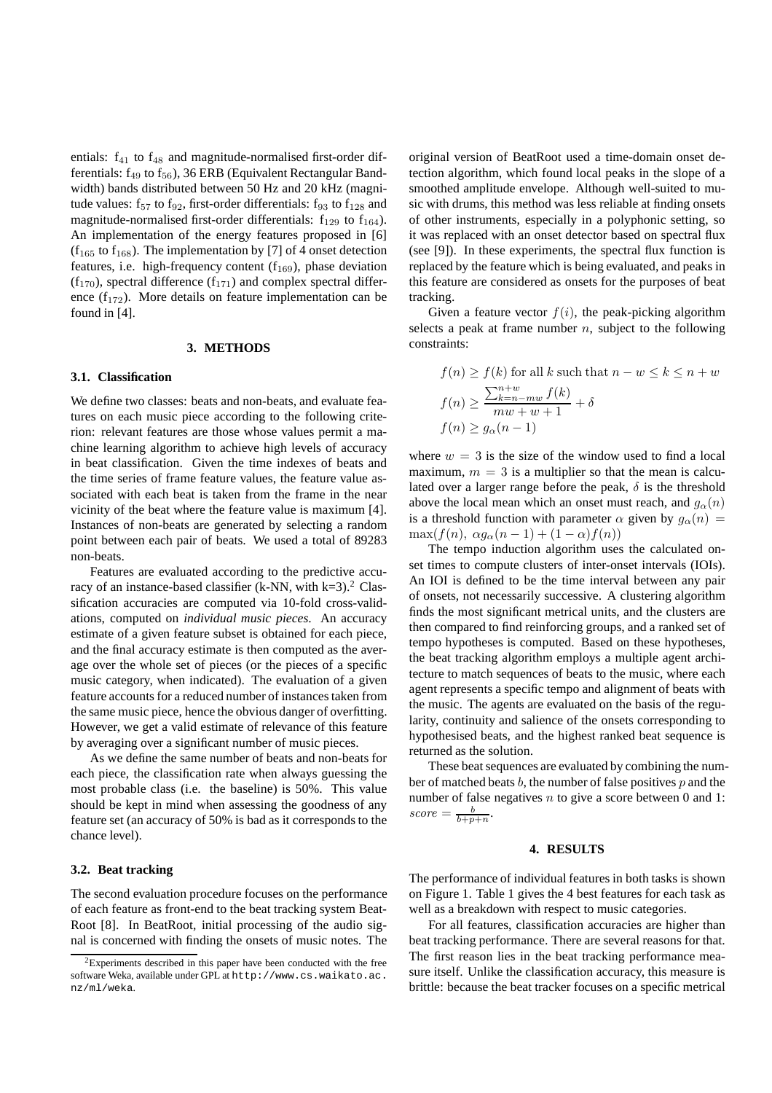entials:  $f_{41}$  to  $f_{48}$  and magnitude-normalised first-order differentials:  $f_{49}$  to  $f_{56}$ ), 36 ERB (Equivalent Rectangular Bandwidth) bands distributed between 50 Hz and 20 kHz (magnitude values:  $f_{57}$  to  $f_{92}$ , first-order differentials:  $f_{93}$  to  $f_{128}$  and magnitude-normalised first-order differentials:  $f_{129}$  to  $f_{164}$ ). An implementation of the energy features proposed in [6]  $(f<sub>165</sub>$  to  $f<sub>168</sub>)$ . The implementation by [7] of 4 onset detection features, i.e. high-frequency content  $(f_{169})$ , phase deviation  $(f_{170})$ , spectral difference  $(f_{171})$  and complex spectral difference  $(f_{172})$ . More details on feature implementation can be found in [4].

### **3. METHODS**

#### **3.1. Classification**

We define two classes: beats and non-beats, and evaluate features on each music piece according to the following criterion: relevant features are those whose values permit a machine learning algorithm to achieve high levels of accuracy in beat classification. Given the time indexes of beats and the time series of frame feature values, the feature value associated with each beat is taken from the frame in the near vicinity of the beat where the feature value is maximum [4]. Instances of non-beats are generated by selecting a random point between each pair of beats. We used a total of 89283 non-beats.

Features are evaluated according to the predictive accuracy of an instance-based classifier (k-NN, with  $k=3$ ).<sup>2</sup> Classification accuracies are computed via 10-fold cross-validations, computed on *individual music pieces*. An accuracy estimate of a given feature subset is obtained for each piece, and the final accuracy estimate is then computed as the average over the whole set of pieces (or the pieces of a specific music category, when indicated). The evaluation of a given feature accounts for a reduced number of instances taken from the same music piece, hence the obvious danger of overfitting. However, we get a valid estimate of relevance of this feature by averaging over a significant number of music pieces.

As we define the same number of beats and non-beats for each piece, the classification rate when always guessing the most probable class (i.e. the baseline) is 50%. This value should be kept in mind when assessing the goodness of any feature set (an accuracy of 50% is bad as it corresponds to the chance level).

#### **3.2. Beat tracking**

The second evaluation procedure focuses on the performance of each feature as front-end to the beat tracking system Beat-Root [8]. In BeatRoot, initial processing of the audio signal is concerned with finding the onsets of music notes. The

original version of BeatRoot used a time-domain onset detection algorithm, which found local peaks in the slope of a smoothed amplitude envelope. Although well-suited to music with drums, this method was less reliable at finding onsets of other instruments, especially in a polyphonic setting, so it was replaced with an onset detector based on spectral flux (see [9]). In these experiments, the spectral flux function is replaced by the feature which is being evaluated, and peaks in this feature are considered as onsets for the purposes of beat tracking.

Given a feature vector  $f(i)$ , the peak-picking algorithm selects a peak at frame number  $n$ , subject to the following constraints:

$$
f(n) \ge f(k) \text{ for all } k \text{ such that } n - w \le k \le n + w
$$

$$
f(n) \ge \frac{\sum_{k=n-mw}^{n+w} f(k)}{mw + w + 1} + \delta
$$

$$
f(n) \ge g_{\alpha}(n - 1)
$$

where  $w = 3$  is the size of the window used to find a local maximum,  $m = 3$  is a multiplier so that the mean is calculated over a larger range before the peak,  $\delta$  is the threshold above the local mean which an onset must reach, and  $g_{\alpha}(n)$ is a threshold function with parameter  $\alpha$  given by  $g_{\alpha}(n) =$  $\max(f(n), \alpha g_\alpha(n-1) + (1-\alpha)f(n))$ 

The tempo induction algorithm uses the calculated onset times to compute clusters of inter-onset intervals (IOIs). An IOI is defined to be the time interval between any pair of onsets, not necessarily successive. A clustering algorithm finds the most significant metrical units, and the clusters are then compared to find reinforcing groups, and a ranked set of tempo hypotheses is computed. Based on these hypotheses, the beat tracking algorithm employs a multiple agent architecture to match sequences of beats to the music, where each agent represents a specific tempo and alignment of beats with the music. The agents are evaluated on the basis of the regularity, continuity and salience of the onsets corresponding to hypothesised beats, and the highest ranked beat sequence is returned as the solution.

These beat sequences are evaluated by combining the number of matched beats  $b$ , the number of false positives  $p$  and the number of false negatives  $n$  to give a score between 0 and 1:  $score = \frac{b}{b+p+n}.$ 

### **4. RESULTS**

The performance of individual features in both tasks is shown on Figure 1. Table 1 gives the 4 best features for each task as well as a breakdown with respect to music categories.

For all features, classification accuracies are higher than beat tracking performance. There are several reasons for that. The first reason lies in the beat tracking performance measure itself. Unlike the classification accuracy, this measure is brittle: because the beat tracker focuses on a specific metrical

 $2$ Experiments described in this paper have been conducted with the free software Weka, available under GPL at http://www.cs.waikato.ac. nz/ml/weka.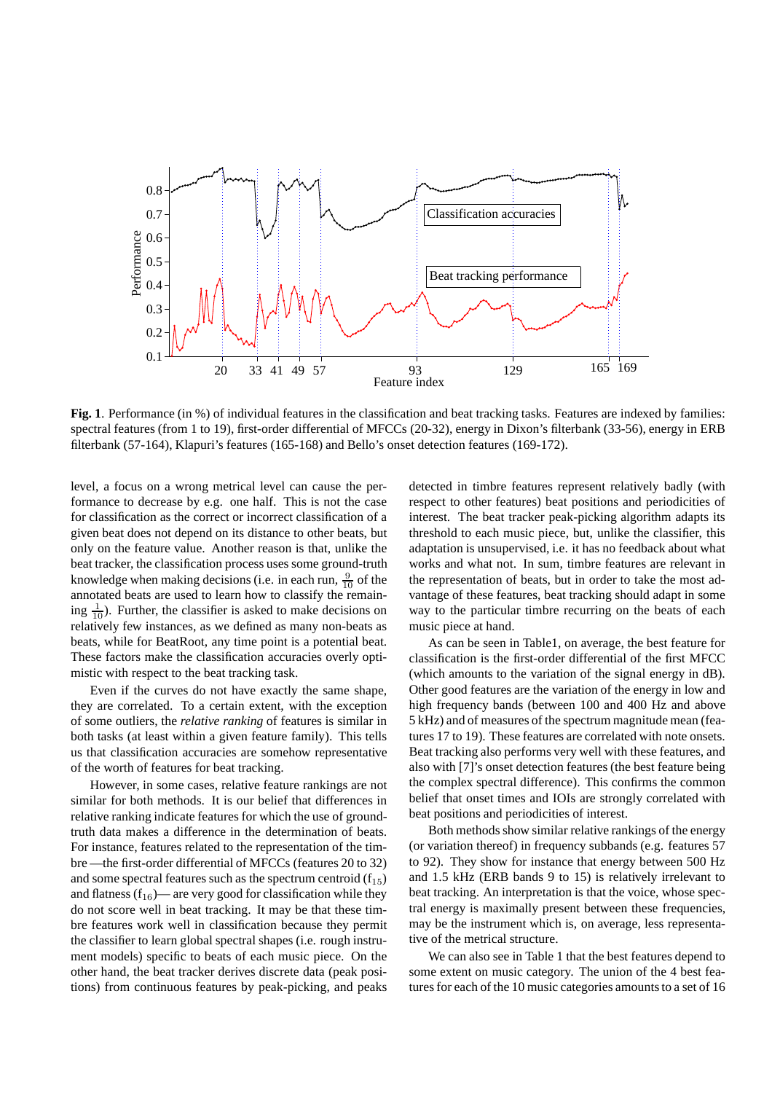

**Fig. 1**. Performance (in %) of individual features in the classification and beat tracking tasks. Features are indexed by families: spectral features (from 1 to 19), first-order differential of MFCCs (20-32), energy in Dixon's filterbank (33-56), energy in ERB filterbank (57-164), Klapuri's features (165-168) and Bello's onset detection features (169-172).

level, a focus on a wrong metrical level can cause the performance to decrease by e.g. one half. This is not the case for classification as the correct or incorrect classification of a given beat does not depend on its distance to other beats, but only on the feature value. Another reason is that, unlike the beat tracker, the classification process uses some ground-truth knowledge when making decisions (i.e. in each run,  $\frac{9}{10}$  of the annotated beats are used to learn how to classify the remaining  $\frac{1}{10}$ ). Further, the classifier is asked to make decisions on relatively few instances, as we defined as many non-beats as beats, while for BeatRoot, any time point is a potential beat. These factors make the classification accuracies overly optimistic with respect to the beat tracking task.

Even if the curves do not have exactly the same shape, they are correlated. To a certain extent, with the exception of some outliers, the *relative ranking* of features is similar in both tasks (at least within a given feature family). This tells us that classification accuracies are somehow representative of the worth of features for beat tracking.

However, in some cases, relative feature rankings are not similar for both methods. It is our belief that differences in relative ranking indicate features for which the use of groundtruth data makes a difference in the determination of beats. For instance, features related to the representation of the timbre —the first-order differential of MFCCs (features 20 to 32) and some spectral features such as the spectrum centroid  $(f_{15})$ and flatness  $(f_{16})$ — are very good for classification while they do not score well in beat tracking. It may be that these timbre features work well in classification because they permit the classifier to learn global spectral shapes (i.e. rough instrument models) specific to beats of each music piece. On the other hand, the beat tracker derives discrete data (peak positions) from continuous features by peak-picking, and peaks detected in timbre features represent relatively badly (with respect to other features) beat positions and periodicities of interest. The beat tracker peak-picking algorithm adapts its threshold to each music piece, but, unlike the classifier, this adaptation is unsupervised, i.e. it has no feedback about what works and what not. In sum, timbre features are relevant in the representation of beats, but in order to take the most advantage of these features, beat tracking should adapt in some way to the particular timbre recurring on the beats of each music piece at hand.

As can be seen in Table1, on average, the best feature for classification is the first-order differential of the first MFCC (which amounts to the variation of the signal energy in dB). Other good features are the variation of the energy in low and high frequency bands (between 100 and 400 Hz and above 5 kHz) and of measures of the spectrum magnitude mean (features 17 to 19). These features are correlated with note onsets. Beat tracking also performs very well with these features, and also with [7]'s onset detection features (the best feature being the complex spectral difference). This confirms the common belief that onset times and IOIs are strongly correlated with beat positions and periodicities of interest.

Both methods show similar relative rankings of the energy (or variation thereof) in frequency subbands (e.g. features 57 to 92). They show for instance that energy between 500 Hz and 1.5 kHz (ERB bands 9 to 15) is relatively irrelevant to beat tracking. An interpretation is that the voice, whose spectral energy is maximally present between these frequencies, may be the instrument which is, on average, less representative of the metrical structure.

We can also see in Table 1 that the best features depend to some extent on music category. The union of the 4 best features for each of the 10 music categories amounts to a set of 16